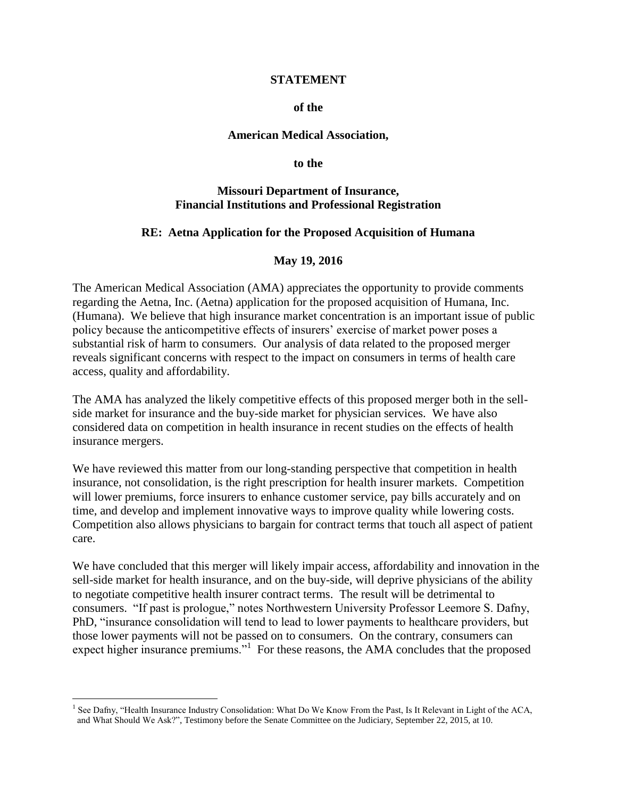#### **STATEMENT**

### **of the**

#### **American Medical Association,**

#### **to the**

### **Missouri Department of Insurance, Financial Institutions and Professional Registration**

### **RE: Aetna Application for the Proposed Acquisition of Humana**

### **May 19, 2016**

The American Medical Association (AMA) appreciates the opportunity to provide comments regarding the Aetna, Inc. (Aetna) application for the proposed acquisition of Humana, Inc. (Humana). We believe that high insurance market concentration is an important issue of public policy because the anticompetitive effects of insurers' exercise of market power poses a substantial risk of harm to consumers. Our analysis of data related to the proposed merger reveals significant concerns with respect to the impact on consumers in terms of health care access, quality and affordability.

The AMA has analyzed the likely competitive effects of this proposed merger both in the sellside market for insurance and the buy-side market for physician services. We have also considered data on competition in health insurance in recent studies on the effects of health insurance mergers.

We have reviewed this matter from our long-standing perspective that competition in health insurance, not consolidation, is the right prescription for health insurer markets. Competition will lower premiums, force insurers to enhance customer service, pay bills accurately and on time, and develop and implement innovative ways to improve quality while lowering costs. Competition also allows physicians to bargain for contract terms that touch all aspect of patient care.

We have concluded that this merger will likely impair access, affordability and innovation in the sell-side market for health insurance, and on the buy-side, will deprive physicians of the ability to negotiate competitive health insurer contract terms. The result will be detrimental to consumers. "If past is prologue," notes Northwestern University Professor Leemore S. Dafny, PhD, "insurance consolidation will tend to lead to lower payments to healthcare providers, but those lower payments will not be passed on to consumers. On the contrary, consumers can expect higher insurance premiums."<sup>1</sup> For these reasons, the AMA concludes that the proposed

<sup>&</sup>lt;sup>1</sup> See Dafny, "Health Insurance Industry Consolidation: What Do We Know From the Past, Is It Relevant in Light of the ACA, and What Should We Ask?", Testimony before the Senate Committee on the Judiciary, September 22, 2015, at 10.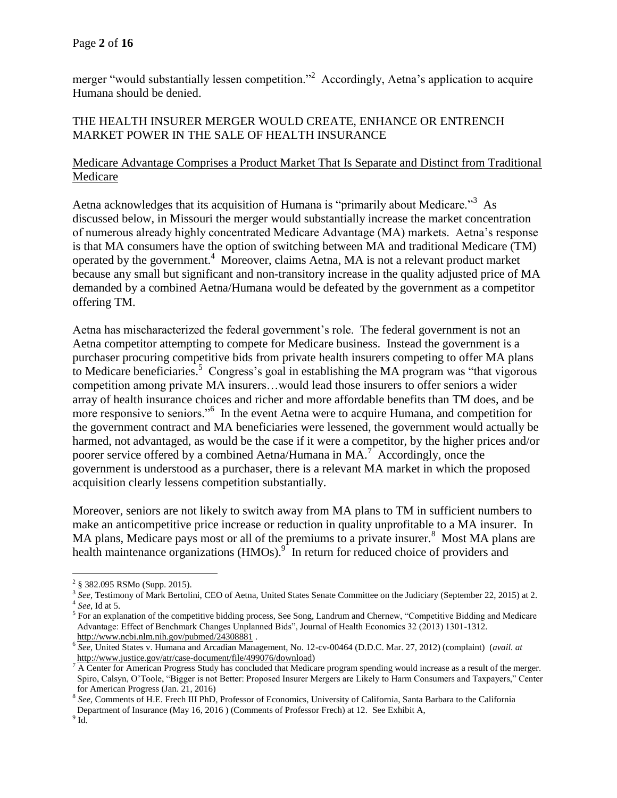merger "would substantially lessen competition."<sup>2</sup> Accordingly, Aetna's application to acquire Humana should be denied.

# THE HEALTH INSURER MERGER WOULD CREATE, ENHANCE OR ENTRENCH MARKET POWER IN THE SALE OF HEALTH INSURANCE

## Medicare Advantage Comprises a Product Market That Is Separate and Distinct from Traditional Medicare

Aetna acknowledges that its acquisition of Humana is "primarily about Medicare."<sup>3</sup> As discussed below, in Missouri the merger would substantially increase the market concentration of numerous already highly concentrated Medicare Advantage (MA) markets. Aetna's response is that MA consumers have the option of switching between MA and traditional Medicare (TM) operated by the government.<sup>4</sup> Moreover, claims Aetna, MA is not a relevant product market because any small but significant and non-transitory increase in the quality adjusted price of MA demanded by a combined Aetna/Humana would be defeated by the government as a competitor offering TM.

Aetna has mischaracterized the federal government's role. The federal government is not an Aetna competitor attempting to compete for Medicare business. Instead the government is a purchaser procuring competitive bids from private health insurers competing to offer MA plans to Medicare beneficiaries.<sup>5</sup> Congress's goal in establishing the MA program was "that vigorous" competition among private MA insurers…would lead those insurers to offer seniors a wider array of health insurance choices and richer and more affordable benefits than TM does, and be more responsive to seniors."<sup>6</sup> In the event Aetna were to acquire Humana, and competition for the government contract and MA beneficiaries were lessened, the government would actually be harmed, not advantaged, as would be the case if it were a competitor, by the higher prices and/or poorer service offered by a combined Aetna/Humana in MA.<sup>7</sup> Accordingly, once the government is understood as a purchaser, there is a relevant MA market in which the proposed acquisition clearly lessens competition substantially.

Moreover, seniors are not likely to switch away from MA plans to TM in sufficient numbers to make an anticompetitive price increase or reduction in quality unprofitable to a MA insurer. In MA plans, Medicare pays most or all of the premiums to a private insurer.<sup>8</sup> Most MA plans are health maintenance organizations (HMOs).<sup>9</sup> In return for reduced choice of providers and

 $2\frac{2}{9}$  382.095 RSMo (Supp. 2015).

<sup>3</sup> *See*, Testimony of Mark Bertolini, CEO of Aetna, United States Senate Committee on the Judiciary (September 22, 2015) at 2. 4 *See*, Id at 5.

<sup>&</sup>lt;sup>5</sup> For an explanation of the competitive bidding process, See Song, Landrum and Chernew, "Competitive Bidding and Medicare Advantage: Effect of Benchmark Changes Unplanned Bids", Journal of Health Economics 32 (2013) 1301-1312. <http://www.ncbi.nlm.nih.gov/pubmed/24308881>.

<sup>6</sup> *See*, United States v. Humana and Arcadian Management, No. 12-cv-00464 (D.D.C. Mar. 27, 2012) (complaint) (*avail. at*  [http://www.justice.gov/atr/case-document/file/499076/download\)](http://www.justice.gov/atr/case-document/file/499076/download)

<sup>&</sup>lt;sup>7</sup> A Center for American Progress Study has concluded that Medicare program spending would increase as a result of the merger. Spiro, Calsyn, O'Toole, "Bigger is not Better: Proposed Insurer Mergers are Likely to Harm Consumers and Taxpayers," Center for American Progress (Jan. 21, 2016)

<sup>8</sup> *See,* Comments of H.E. Frech III PhD, Professor of Economics, University of California, Santa Barbara to the California Department of Insurance (May 16, 2016 ) (Comments of Professor Frech) at 12. See Exhibit A,

 $^9$  Id.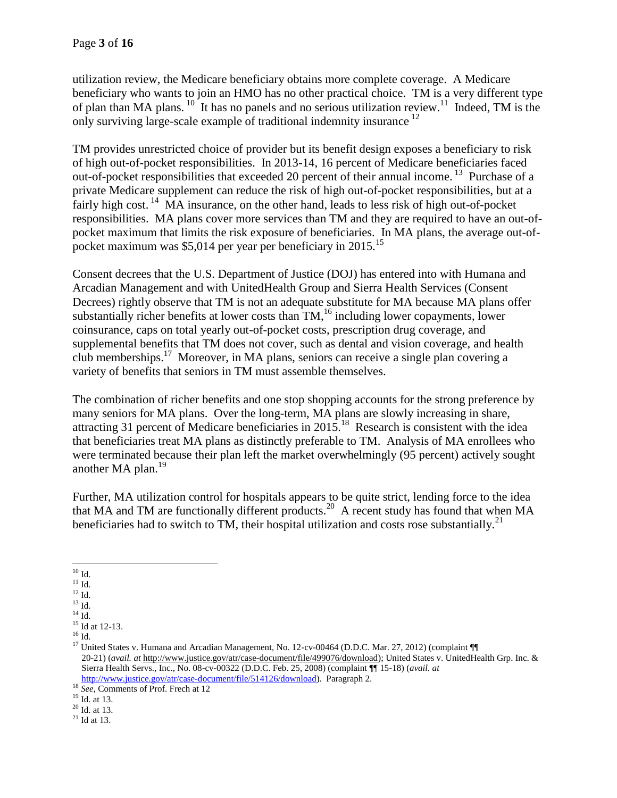utilization review, the Medicare beneficiary obtains more complete coverage. A Medicare beneficiary who wants to join an HMO has no other practical choice. TM is a very different type of plan than MA plans.  $10^{6}$  It has no panels and no serious utilization review.<sup>11</sup> Indeed, TM is the only surviving large-scale example of traditional indemnity insurance <sup>12</sup> 

TM provides unrestricted choice of provider but its benefit design exposes a beneficiary to risk of high out-of-pocket responsibilities. In 2013-14, 16 percent of Medicare beneficiaries faced out-of-pocket responsibilities that exceeded 20 percent of their annual income.<sup>13</sup> Purchase of a private Medicare supplement can reduce the risk of high out-of-pocket responsibilities, but at a fairly high cost. <sup>14</sup> MA insurance, on the other hand, leads to less risk of high out-of-pocket responsibilities. MA plans cover more services than TM and they are required to have an out-ofpocket maximum that limits the risk exposure of beneficiaries. In MA plans, the average out-ofpocket maximum was \$5,014 per year per beneficiary in 2015.<sup>15</sup>

Consent decrees that the U.S. Department of Justice (DOJ) has entered into with Humana and Arcadian Management and with UnitedHealth Group and Sierra Health Services (Consent Decrees) rightly observe that TM is not an adequate substitute for MA because MA plans offer substantially richer benefits at lower costs than  $TM<sub>1</sub><sup>16</sup>$  including lower copayments, lower coinsurance, caps on total yearly out-of-pocket costs, prescription drug coverage, and supplemental benefits that TM does not cover, such as dental and vision coverage, and health club memberships.<sup>17</sup> Moreover, in MA plans, seniors can receive a single plan covering a variety of benefits that seniors in TM must assemble themselves.

The combination of richer benefits and one stop shopping accounts for the strong preference by many seniors for MA plans. Over the long-term, MA plans are slowly increasing in share, attracting 31 percent of Medicare beneficiaries in 2015.<sup>18</sup> Research is consistent with the idea that beneficiaries treat MA plans as distinctly preferable to TM. Analysis of MA enrollees who were terminated because their plan left the market overwhelmingly (95 percent) actively sought another MA plan.<sup>19</sup>

Further, MA utilization control for hospitals appears to be quite strict, lending force to the idea that MA and TM are functionally different products.<sup>20</sup> A recent study has found that when MA beneficiaries had to switch to TM, their hospital utilization and costs rose substantially.<sup>21</sup>

<sup>15</sup> Id at 12-13.  $^{16}$  Id.

<sup>19</sup> Id. at 13.

 $\overline{a}$  $^{10}$  Id.

 $^{11}$  Id.

 $^{12}$  Id.

 $^{13}$  Id.  $\,$ 

 $^{14}$  Id.  $\,$ 

<sup>&</sup>lt;sup>17</sup> United States v. Humana and Arcadian Management, No. 12-cv-00464 (D.D.C. Mar. 27, 2012) (complaint ¶ 20-21) (*avail. at* [http://www.justice.gov/atr/case-document/file/499076/download\)](http://www.justice.gov/atr/case-document/file/499076/download); United States v. UnitedHealth Grp. Inc. & Sierra Health Servs., Inc., No. 08-cv-00322 (D.D.C. Feb. 25, 2008) (complaint ¶¶ 15-18) (*avail. at* [http://www.justice.gov/atr/case-document/file/514126/download\)](http://www.justice.gov/atr/case-document/file/514126/download). Paragraph 2.

<sup>18</sup> *See,* Comments of Prof. Frech at 12

 $20$  Id. at 13.

 $21$  Id at 13.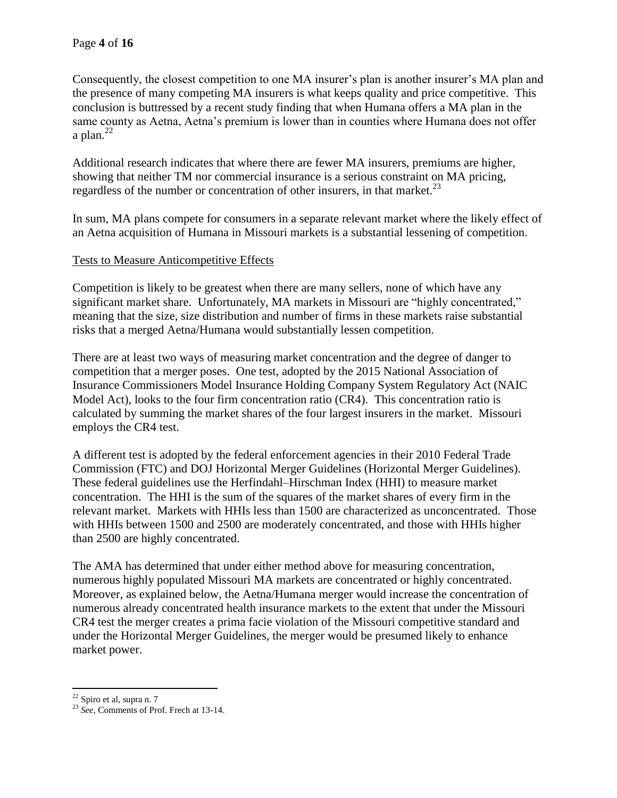Consequently, the closest competition to one MA insurer's plan is another insurer's MA plan and the presence of many competing MA insurers is what keeps quality and price competitive. This conclusion is buttressed by a recent study finding that when Humana offers a MA plan in the same county as Aetna, Aetna's premium is lower than in counties where Humana does not offer a plan. $^{22}$ 

Additional research indicates that where there are fewer MA insurers, premiums are higher, showing that neither TM nor commercial insurance is a serious constraint on MA pricing, regardless of the number or concentration of other insurers, in that market.<sup>23</sup>

In sum, MA plans compete for consumers in a separate relevant market where the likely effect of an Aetna acquisition of Humana in Missouri markets is a substantial lessening of competition.

## Tests to Measure Anticompetitive Effects

Competition is likely to be greatest when there are many sellers, none of which have any significant market share. Unfortunately, MA markets in Missouri are "highly concentrated," meaning that the size, size distribution and number of firms in these markets raise substantial risks that a merged Aetna/Humana would substantially lessen competition.

There are at least two ways of measuring market concentration and the degree of danger to competition that a merger poses. One test, adopted by the 2015 National Association of Insurance Commissioners Model Insurance Holding Company System Regulatory Act (NAIC Model Act), looks to the four firm concentration ratio (CR4). This concentration ratio is calculated by summing the market shares of the four largest insurers in the market. Missouri employs the CR4 test.

A different test is adopted by the federal enforcement agencies in their 2010 Federal Trade Commission (FTC) and DOJ Horizontal Merger Guidelines (Horizontal Merger Guidelines). These federal guidelines use the Herfindahl–Hirschman Index (HHI) to measure market concentration. The HHI is the sum of the squares of the market shares of every firm in the relevant market. Markets with HHIs less than 1500 are characterized as unconcentrated. Those with HHIs between 1500 and 2500 are moderately concentrated, and those with HHIs higher than 2500 are highly concentrated.

The AMA has determined that under either method above for measuring concentration, numerous highly populated Missouri MA markets are concentrated or highly concentrated. Moreover, as explained below, the Aetna/Humana merger would increase the concentration of numerous already concentrated health insurance markets to the extent that under the Missouri CR4 test the merger creates a prima facie violation of the Missouri competitive standard and under the Horizontal Merger Guidelines, the merger would be presumed likely to enhance market power.

 $\overline{a}$  $22$  Spiro et al, supra n. 7

<sup>23</sup> *See,* Comments of Prof. Frech at 13-14.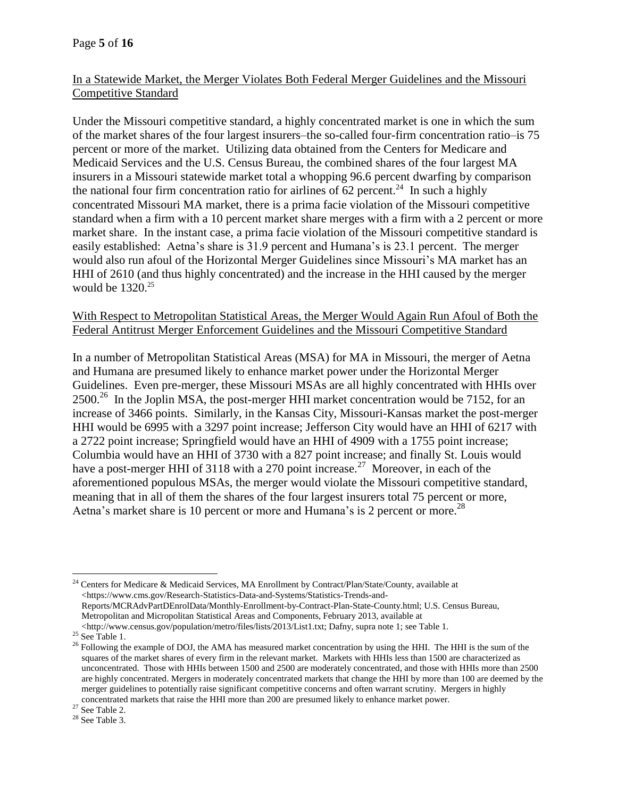## In a Statewide Market, the Merger Violates Both Federal Merger Guidelines and the Missouri Competitive Standard

Under the Missouri competitive standard, a highly concentrated market is one in which the sum of the market shares of the four largest insurers–the so-called four-firm concentration ratio–is 75 percent or more of the market. Utilizing data obtained from the Centers for Medicare and Medicaid Services and the U.S. Census Bureau, the combined shares of the four largest MA insurers in a Missouri statewide market total a whopping 96.6 percent dwarfing by comparison the national four firm concentration ratio for airlines of 62 percent.<sup>24</sup> In such a highly concentrated Missouri MA market, there is a prima facie violation of the Missouri competitive standard when a firm with a 10 percent market share merges with a firm with a 2 percent or more market share. In the instant case, a prima facie violation of the Missouri competitive standard is easily established: Aetna's share is 31.9 percent and Humana's is 23.1 percent. The merger would also run afoul of the Horizontal Merger Guidelines since Missouri's MA market has an HHI of 2610 (and thus highly concentrated) and the increase in the HHI caused by the merger would be  $1320^{25}$ 

## With Respect to Metropolitan Statistical Areas, the Merger Would Again Run Afoul of Both the Federal Antitrust Merger Enforcement Guidelines and the Missouri Competitive Standard

In a number of Metropolitan Statistical Areas (MSA) for MA in Missouri, the merger of Aetna and Humana are presumed likely to enhance market power under the Horizontal Merger Guidelines. Even pre-merger, these Missouri MSAs are all highly concentrated with HHIs over  $2500<sup>26</sup>$  In the Joplin MSA, the post-merger HHI market concentration would be 7152, for an increase of 3466 points. Similarly, in the Kansas City, Missouri-Kansas market the post-merger HHI would be 6995 with a 3297 point increase; Jefferson City would have an HHI of 6217 with a 2722 point increase; Springfield would have an HHI of 4909 with a 1755 point increase; Columbia would have an HHI of 3730 with a 827 point increase; and finally St. Louis would have a post-merger HHI of 3118 with a 270 point increase.<sup>27</sup> Moreover, in each of the aforementioned populous MSAs, the merger would violate the Missouri competitive standard, meaning that in all of them the shares of the four largest insurers total 75 percent or more, Aetna's market share is 10 percent or more and Humana's is 2 percent or more.<sup>28</sup>

 $\overline{a}$ <sup>24</sup> Centers for Medicare & Medicaid Services, MA Enrollment by Contract/Plan/State/County, available at <https://www.cms.gov/Research-Statistics-Data-and-Systems/Statistics-Trends-and-Reports/MCRAdvPartDEnrolData/Monthly-Enrollment-by-Contract-Plan-State-County.html; U.S. Census Bureau, Metropolitan and Micropolitan Statistical Areas and Components, February 2013, available at <http://www.census.gov/population/metro/files/lists/2013/List1.txt; Dafny, supra note 1; see Table 1.

 $25$  See Table 1.

<sup>&</sup>lt;sup>26</sup> Following the example of DOJ, the AMA has measured market concentration by using the HHI. The HHI is the sum of the squares of the market shares of every firm in the relevant market. Markets with HHIs less than 1500 are characterized as unconcentrated. Those with HHIs between 1500 and 2500 are moderately concentrated, and those with HHIs more than 2500 are highly concentrated. Mergers in moderately concentrated markets that change the HHI by more than 100 are deemed by the merger guidelines to potentially raise significant competitive concerns and often warrant scrutiny. Mergers in highly concentrated markets that raise the HHI more than 200 are presumed likely to enhance market power.

 $^{27}$  See Table 2.

<sup>28</sup> See Table 3.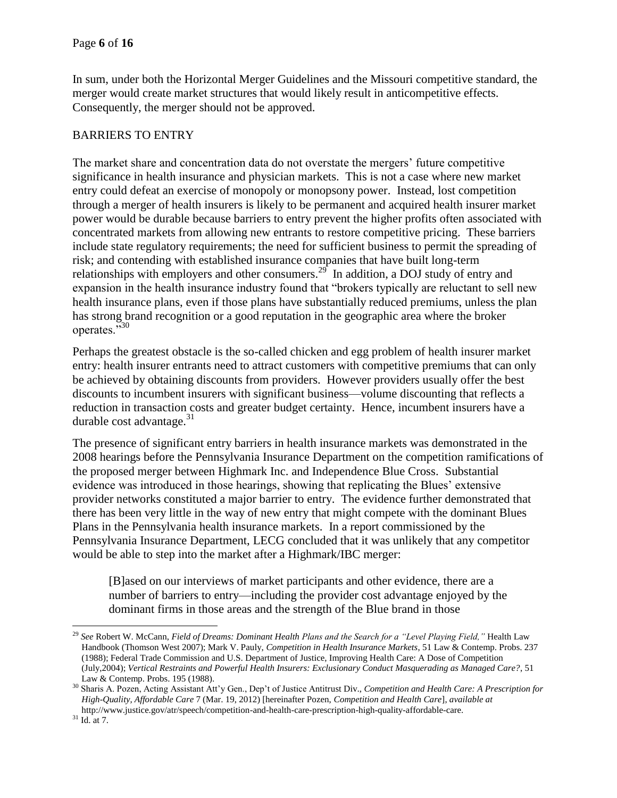In sum, under both the Horizontal Merger Guidelines and the Missouri competitive standard, the merger would create market structures that would likely result in anticompetitive effects. Consequently, the merger should not be approved.

# BARRIERS TO ENTRY

The market share and concentration data do not overstate the mergers' future competitive significance in health insurance and physician markets. This is not a case where new market entry could defeat an exercise of monopoly or monopsony power. Instead, lost competition through a merger of health insurers is likely to be permanent and acquired health insurer market power would be durable because barriers to entry prevent the higher profits often associated with concentrated markets from allowing new entrants to restore competitive pricing. These barriers include state regulatory requirements; the need for sufficient business to permit the spreading of risk; and contending with established insurance companies that have built long-term relationships with employers and other consumers.<sup>29</sup> In addition, a DOJ study of entry and expansion in the health insurance industry found that "brokers typically are reluctant to sell new health insurance plans, even if those plans have substantially reduced premiums, unless the plan has strong brand recognition or a good reputation in the geographic area where the broker operates."<sup>30</sup>

Perhaps the greatest obstacle is the so-called chicken and egg problem of health insurer market entry: health insurer entrants need to attract customers with competitive premiums that can only be achieved by obtaining discounts from providers. However providers usually offer the best discounts to incumbent insurers with significant business—volume discounting that reflects a reduction in transaction costs and greater budget certainty. Hence, incumbent insurers have a durable cost advantage. $31$ 

The presence of significant entry barriers in health insurance markets was demonstrated in the 2008 hearings before the Pennsylvania Insurance Department on the competition ramifications of the proposed merger between Highmark Inc. and Independence Blue Cross. Substantial evidence was introduced in those hearings, showing that replicating the Blues' extensive provider networks constituted a major barrier to entry. The evidence further demonstrated that there has been very little in the way of new entry that might compete with the dominant Blues Plans in the Pennsylvania health insurance markets. In a report commissioned by the Pennsylvania Insurance Department, LECG concluded that it was unlikely that any competitor would be able to step into the market after a Highmark/IBC merger:

[B]ased on our interviews of market participants and other evidence, there are a number of barriers to entry—including the provider cost advantage enjoyed by the dominant firms in those areas and the strength of the Blue brand in those

<sup>29</sup> *See* Robert W. McCann, *Field of Dreams: Dominant Health Plans and the Search for a "Level Playing Field,"* Health Law Handbook (Thomson West 2007); Mark V. Pauly, *Competition in Health Insurance Markets*, 51 Law & Contemp. Probs. 237 (1988); Federal Trade Commission and U.S. Department of Justice, Improving Health Care: A Dose of Competition (July,2004); *Vertical Restraints and Powerful Health Insurers: Exclusionary Conduct Masquerading as Managed Care?*, 51 Law & Contemp. Probs. 195 (1988).

<sup>30</sup> Sharis A. Pozen, Acting Assistant Att'y Gen., Dep't of Justice Antitrust Div., *Competition and Health Care: A Prescription for High-Quality, Affordable Care* 7 (Mar. 19, 2012) [hereinafter Pozen, *Competition and Health Care*], *available at*  http://www.justice.gov/atr/speech/competition-and-health-care-prescription-high-quality-affordable-care.

 $31$  Id. at 7.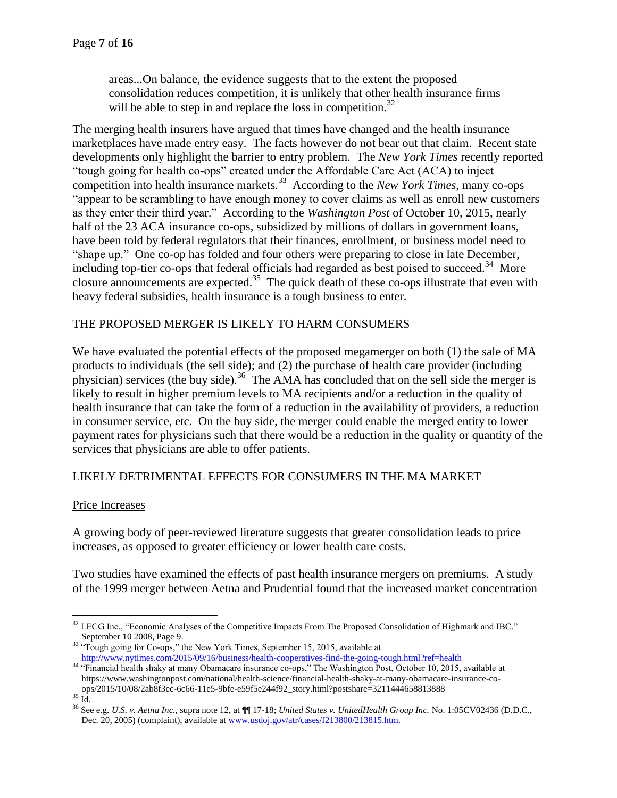areas...On balance, the evidence suggests that to the extent the proposed consolidation reduces competition, it is unlikely that other health insurance firms will be able to step in and replace the loss in competition.<sup>32</sup>

The merging health insurers have argued that times have changed and the health insurance marketplaces have made entry easy. The facts however do not bear out that claim. Recent state developments only highlight the barrier to entry problem. The *New York Times* recently reported "tough going for health co-ops" created under the Affordable Care Act (ACA) to inject competition into health insurance markets.<sup>33</sup> According to the *New York Times*, many co-ops "appear to be scrambling to have enough money to cover claims as well as enroll new customers as they enter their third year." According to the *Washington Post* of October 10, 2015, nearly half of the 23 ACA insurance co-ops, subsidized by millions of dollars in government loans, have been told by federal regulators that their finances, enrollment, or business model need to "shape up." One co-op has folded and four others were preparing to close in late December, including top-tier co-ops that federal officials had regarded as best poised to succeed.<sup>34</sup> More closure announcements are expected.<sup>35</sup> The quick death of these co-ops illustrate that even with heavy federal subsidies, health insurance is a tough business to enter.

## THE PROPOSED MERGER IS LIKELY TO HARM CONSUMERS

We have evaluated the potential effects of the proposed megamerger on both (1) the sale of MA products to individuals (the sell side); and (2) the purchase of health care provider (including physician) services (the buy side).<sup>36</sup> The AMA has concluded that on the sell side the merger is likely to result in higher premium levels to MA recipients and/or a reduction in the quality of health insurance that can take the form of a reduction in the availability of providers, a reduction in consumer service, etc. On the buy side, the merger could enable the merged entity to lower payment rates for physicians such that there would be a reduction in the quality or quantity of the services that physicians are able to offer patients.

## LIKELY DETRIMENTAL EFFECTS FOR CONSUMERS IN THE MA MARKET

## Price Increases

A growing body of peer-reviewed literature suggests that greater consolidation leads to price increases, as opposed to greater efficiency or lower health care costs.

Two studies have examined the effects of past health insurance mergers on premiums. A study of the 1999 merger between Aetna and Prudential found that the increased market concentration

<sup>&</sup>lt;sup>32</sup> LECG Inc., "Economic Analyses of the Competitive Impacts From The Proposed Consolidation of Highmark and IBC." September 10 2008, Page 9.

<sup>&</sup>lt;sup>33</sup> "Tough going for Co-ops," the New York Times, September 15, 2015, available at http://www.nytimes.com/2015/09/16/business/health-cooperatives-find-the-going-tough.html?ref=health

<sup>&</sup>lt;sup>34</sup> "Financial health shaky at many Obamacare insurance co-ops," The Washington Post, October 10, 2015, available at https://www.washingtonpost.com/national/health-science/financial-health-shaky-at-many-obamacare-insurance-coops/2015/10/08/2ab8f3ec-6c66-11e5-9bfe-e59f5e244f92\_story.html?postshare=3211444658813888

 $^{35}$  Id.  $\,$ 

<sup>36</sup> See e.g. *U.S. v. Aetna Inc.,* supra note 12, at ¶¶ 17-18; *United States v. UnitedHealth Group Inc.* No. 1:05CV02436 (D.D.C., Dec. 20, 2005) (complaint), available a[t www.usdoj.gov/atr/cases/f213800/213815.htm.](http://www.usdoj.gov/atr/cases/f213800/213815.htm)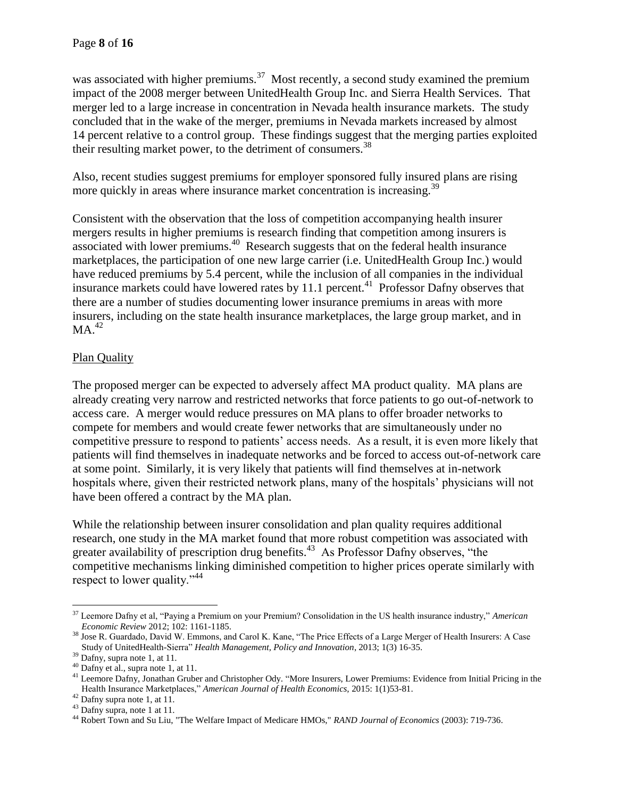was associated with higher premiums.<sup>37</sup> Most recently, a second study examined the premium impact of the 2008 merger between UnitedHealth Group Inc. and Sierra Health Services. That merger led to a large increase in concentration in Nevada health insurance markets. The study concluded that in the wake of the merger, premiums in Nevada markets increased by almost 14 percent relative to a control group. These findings suggest that the merging parties exploited their resulting market power, to the detriment of consumers.<sup>38</sup>

Also, recent studies suggest premiums for employer sponsored fully insured plans are rising more quickly in areas where insurance market concentration is increasing.<sup>39</sup>

Consistent with the observation that the loss of competition accompanying health insurer mergers results in higher premiums is research finding that competition among insurers is associated with lower premiums.<sup>40</sup> Research suggests that on the federal health insurance marketplaces, the participation of one new large carrier (i.e. UnitedHealth Group Inc.) would have reduced premiums by 5.4 percent, while the inclusion of all companies in the individual insurance markets could have lowered rates by 11.1 percent.<sup>41</sup> Professor Dafny observes that there are a number of studies documenting lower insurance premiums in areas with more insurers, including on the state health insurance marketplaces, the large group market, and in  $MA.<sup>42</sup>$ 

# Plan Quality

The proposed merger can be expected to adversely affect MA product quality. MA plans are already creating very narrow and restricted networks that force patients to go out-of-network to access care. A merger would reduce pressures on MA plans to offer broader networks to compete for members and would create fewer networks that are simultaneously under no competitive pressure to respond to patients' access needs. As a result, it is even more likely that patients will find themselves in inadequate networks and be forced to access out-of-network care at some point. Similarly, it is very likely that patients will find themselves at in-network hospitals where, given their restricted network plans, many of the hospitals' physicians will not have been offered a contract by the MA plan.

While the relationship between insurer consolidation and plan quality requires additional research, one study in the MA market found that more robust competition was associated with greater availability of prescription drug benefits.<sup>43</sup> As Professor Dafny observes, "the competitive mechanisms linking diminished competition to higher prices operate similarly with respect to lower quality."<sup>44</sup>

 $\overline{a}$ <sup>37</sup> Leemore Dafny et al, "Paying a Premium on your Premium? Consolidation in the US health insurance industry," *American Economic Review* 2012; 102: 1161-1185.

<sup>&</sup>lt;sup>38</sup> Jose R. Guardado, David W. Emmons, and Carol K. Kane, "The Price Effects of a Large Merger of Health Insurers: A Case Study of UnitedHealth-Sierra" *Health Management, Policy and Innovation*, 2013; 1(3) 16-35.

<sup>&</sup>lt;sup>39</sup> Dafny, supra note 1, at 11.

<sup>40</sup> Dafny et al., supra note 1, at 11.

<sup>&</sup>lt;sup>41</sup> Leemore Dafny, Jonathan Gruber and Christopher Ody. "More Insurers, Lower Premiums: Evidence from Initial Pricing in the Health Insurance Marketplaces," *American Journal of Health Economics,* 2015: 1(1)53-81.

 $42$  Dafny supra note 1, at 11.

<sup>43</sup> Dafny supra, note 1 at 11.

<sup>44</sup> Robert Town and Su Liu, "The Welfare Impact of Medicare HMOs," *RAND Journal of Economics* (2003): 719-736.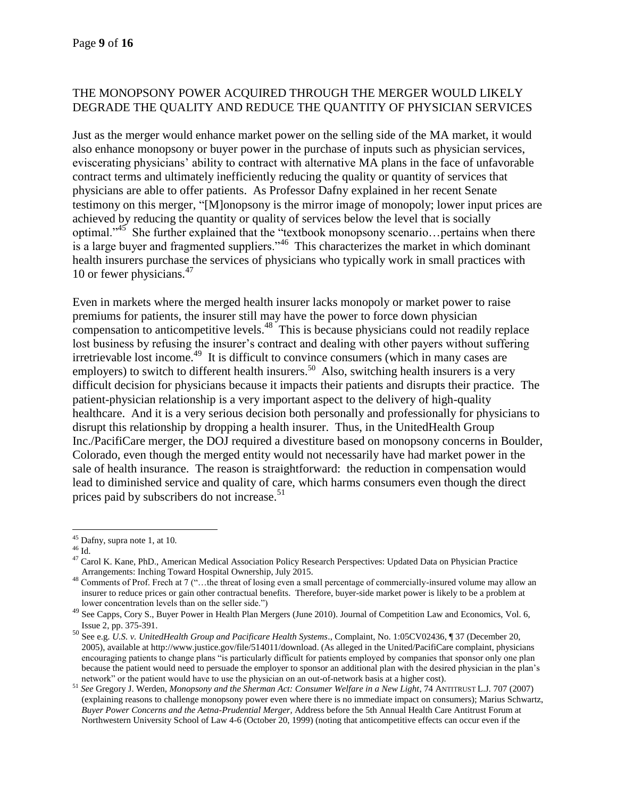## THE MONOPSONY POWER ACQUIRED THROUGH THE MERGER WOULD LIKELY DEGRADE THE QUALITY AND REDUCE THE QUANTITY OF PHYSICIAN SERVICES

Just as the merger would enhance market power on the selling side of the MA market, it would also enhance monopsony or buyer power in the purchase of inputs such as physician services, eviscerating physicians' ability to contract with alternative MA plans in the face of unfavorable contract terms and ultimately inefficiently reducing the quality or quantity of services that physicians are able to offer patients. As Professor Dafny explained in her recent Senate testimony on this merger, "[M]onopsony is the mirror image of monopoly; lower input prices are achieved by reducing the quantity or quality of services below the level that is socially optimal."<sup>45</sup> She further explained that the "textbook monopsony scenario...pertains when there is a large buyer and fragmented suppliers."<sup>46</sup> This characterizes the market in which dominant health insurers purchase the services of physicians who typically work in small practices with 10 or fewer physicians.<sup>47</sup>

Even in markets where the merged health insurer lacks monopoly or market power to raise premiums for patients, the insurer still may have the power to force down physician compensation to anticompetitive levels.<sup>48</sup> This is because physicians could not readily replace lost business by refusing the insurer's contract and dealing with other payers without suffering irretrievable lost income.<sup>49</sup> It is difficult to convince consumers (which in many cases are employers) to switch to different health insurers.<sup>50</sup> Also, switching health insurers is a very difficult decision for physicians because it impacts their patients and disrupts their practice. The patient-physician relationship is a very important aspect to the delivery of high-quality healthcare. And it is a very serious decision both personally and professionally for physicians to disrupt this relationship by dropping a health insurer. Thus, in the UnitedHealth Group Inc./PacifiCare merger, the DOJ required a divestiture based on monopsony concerns in Boulder, Colorado, even though the merged entity would not necessarily have had market power in the sale of health insurance. The reason is straightforward: the reduction in compensation would lead to diminished service and quality of care, which harms consumers even though the direct prices paid by subscribers do not increase. 51

 $45$  Dafny, supra note 1, at 10.

 $^{46}$  Id.

<sup>&</sup>lt;sup>47</sup> Carol K. Kane, PhD., American Medical Association Policy Research Perspectives: Updated Data on Physician Practice Arrangements: Inching Toward Hospital Ownership, July 2015.

 $48$  Comments of Prof. Frech at 7 ("...the threat of losing even a small percentage of commercially-insured volume may allow an insurer to reduce prices or gain other contractual benefits. Therefore, buyer-side market power is likely to be a problem at lower concentration levels than on the seller side.")

<sup>&</sup>lt;sup>49</sup> See Capps, Cory S., Buyer Power in Health Plan Mergers (June 2010). Journal of Competition Law and Economics, Vol. 6, Issue 2, pp. 375-391.

<sup>50</sup> See e.g. *U.S. v. UnitedHealth Group and Pacificare Health Systems*., Complaint, No. 1:05CV02436, ¶ 37 (December 20, 2005), available at http://www.justice.gov/file/514011/download. (As alleged in the United/PacifiCare complaint, physicians encouraging patients to change plans "is particularly difficult for patients employed by companies that sponsor only one plan because the patient would need to persuade the employer to sponsor an additional plan with the desired physician in the plan's network" or the patient would have to use the physician on an out-of-network basis at a higher cost).

<sup>51</sup> *See* Gregory J. Werden, *Monopsony and the Sherman Act: Consumer Welfare in a New Light*, 74 ANTITRUST L.J*.* 707 (2007) (explaining reasons to challenge monopsony power even where there is no immediate impact on consumers); Marius Schwartz, *Buyer Power Concerns and the Aetna-Prudential Merger,* Address before the 5th Annual Health Care Antitrust Forum at Northwestern University School of Law 4-6 (October 20, 1999) (noting that anticompetitive effects can occur even if the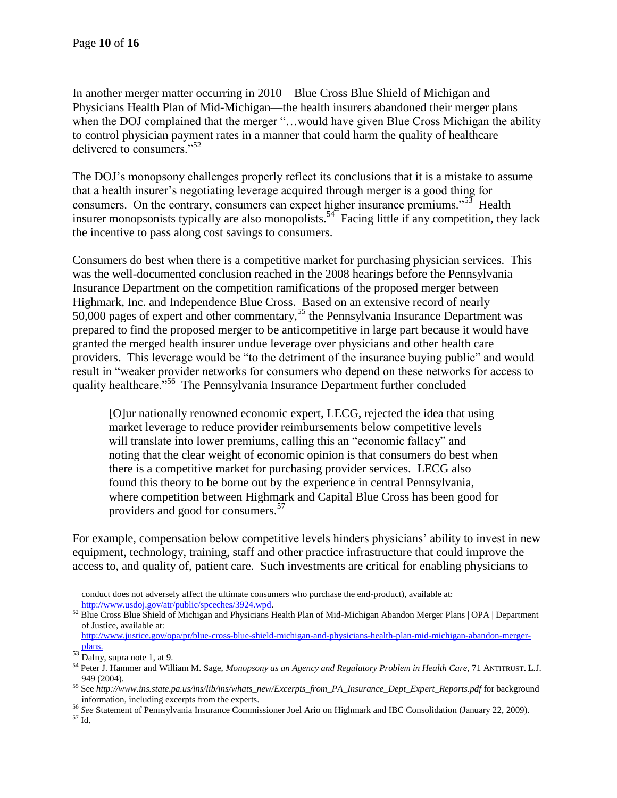In another merger matter occurring in 2010—Blue Cross Blue Shield of Michigan and Physicians Health Plan of Mid-Michigan—the health insurers abandoned their merger plans when the DOJ complained that the merger "...would have given Blue Cross Michigan the ability to control physician payment rates in a manner that could harm the quality of healthcare delivered to consumers."<sup>52</sup>

The DOJ's monopsony challenges properly reflect its conclusions that it is a mistake to assume that a health insurer's negotiating leverage acquired through merger is a good thing for consumers. On the contrary, consumers can expect higher insurance premiums." $53$  Health insurer monopsonists typically are also monopolists.<sup>54</sup> Facing little if any competition, they lack the incentive to pass along cost savings to consumers.

Consumers do best when there is a competitive market for purchasing physician services. This was the well-documented conclusion reached in the 2008 hearings before the Pennsylvania Insurance Department on the competition ramifications of the proposed merger between Highmark, Inc. and Independence Blue Cross. Based on an extensive record of nearly 50,000 pages of expert and other commentary,<sup>55</sup> the Pennsylvania Insurance Department was prepared to find the proposed merger to be anticompetitive in large part because it would have granted the merged health insurer undue leverage over physicians and other health care providers. This leverage would be "to the detriment of the insurance buying public" and would result in "weaker provider networks for consumers who depend on these networks for access to quality healthcare."<sup>56</sup> The Pennsylvania Insurance Department further concluded

[O]ur nationally renowned economic expert, LECG, rejected the idea that using market leverage to reduce provider reimbursements below competitive levels will translate into lower premiums, calling this an "economic fallacy" and noting that the clear weight of economic opinion is that consumers do best when there is a competitive market for purchasing provider services. LECG also found this theory to be borne out by the experience in central Pennsylvania, where competition between Highmark and Capital Blue Cross has been good for providers and good for consumers.<sup>57</sup>

For example, compensation below competitive levels hinders physicians' ability to invest in new equipment, technology, training, staff and other practice infrastructure that could improve the access to, and quality of, patient care. Such investments are critical for enabling physicians to

conduct does not adversely affect the ultimate consumers who purchase the end-product), available at: [http://www.usdoj.gov/atr/public/spceches/3924.wpd.](http://www.usdoj.gov/atr/public/spceches/3924.wpd)

<sup>52</sup> Blue Cross Blue Shield of Michigan and Physicians Health Plan of Mid-Michigan Abandon Merger Plans | OPA | Department of Justice, available at:

[http://www.justice.gov/opa/pr/blue-cross-blue-shield-michigan-and-physicians-health-plan-mid-michigan-abandon-merger](http://www.justice.gov/opa/pr/blue-cross-blue-shield-michigan-and-physicians-health-plan-mid-michigan-abandon-merger-plans)[plans.](http://www.justice.gov/opa/pr/blue-cross-blue-shield-michigan-and-physicians-health-plan-mid-michigan-abandon-merger-plans)

 $53$  Dafny, supra note 1, at 9.

<sup>54</sup> Peter J. Hammer and William M. Sage, *Monopsony as an Agency and Regulatory Problem in Health Care*, 71 ANTITRUST. L.J. 949 (2004).

<sup>55</sup> See *http://www.ins.state.pa.us/ins/lib/ins/whats\_new/Excerpts\_from\_PA\_Insurance\_Dept\_Expert\_Reports.pdf* for background information, including excerpts from the experts.

<sup>56</sup> *See* Statement of Pennsylvania Insurance Commissioner Joel Ario on Highmark and IBC Consolidation (January 22, 2009).

<sup>57</sup> Id.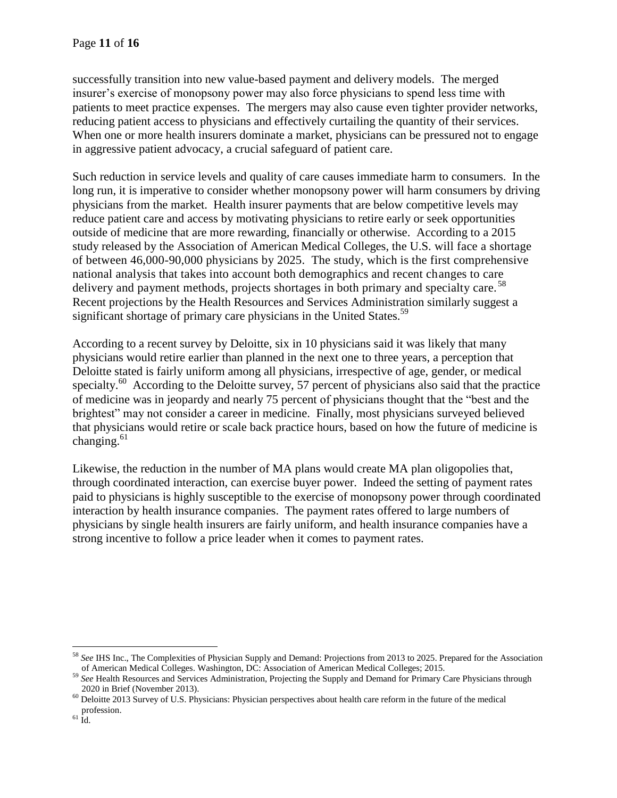successfully transition into new value-based payment and delivery models. The merged insurer's exercise of monopsony power may also force physicians to spend less time with patients to meet practice expenses. The mergers may also cause even tighter provider networks, reducing patient access to physicians and effectively curtailing the quantity of their services. When one or more health insurers dominate a market, physicians can be pressured not to engage in aggressive patient advocacy, a crucial safeguard of patient care.

Such reduction in service levels and quality of care causes immediate harm to consumers. In the long run, it is imperative to consider whether monopsony power will harm consumers by driving physicians from the market. Health insurer payments that are below competitive levels may reduce patient care and access by motivating physicians to retire early or seek opportunities outside of medicine that are more rewarding, financially or otherwise. According to a 2015 study released by the Association of American Medical Colleges, the U.S. will face a shortage of between 46,000-90,000 physicians by 2025. The study, which is the first comprehensive national analysis that takes into account both demographics and recent changes to care delivery and payment methods, projects shortages in both primary and specialty care.<sup>58</sup> Recent projections by the Health Resources and Services Administration similarly suggest a significant shortage of primary care physicians in the United States.<sup>59</sup>

According to a recent survey by Deloitte, six in 10 physicians said it was likely that many physicians would retire earlier than planned in the next one to three years, a perception that Deloitte stated is fairly uniform among all physicians, irrespective of age, gender, or medical specialty.<sup>60</sup> According to the Deloitte survey, 57 percent of physicians also said that the practice of medicine was in jeopardy and nearly 75 percent of physicians thought that the "best and the brightest" may not consider a career in medicine. Finally, most physicians surveyed believed that physicians would retire or scale back practice hours, based on how the future of medicine is changing. $61$ 

Likewise, the reduction in the number of MA plans would create MA plan oligopolies that, through coordinated interaction, can exercise buyer power. Indeed the setting of payment rates paid to physicians is highly susceptible to the exercise of monopsony power through coordinated interaction by health insurance companies. The payment rates offered to large numbers of physicians by single health insurers are fairly uniform, and health insurance companies have a strong incentive to follow a price leader when it comes to payment rates.

<sup>58</sup> *See* IHS Inc., The Complexities of Physician Supply and Demand: Projections from 2013 to 2025. Prepared for the Association of American Medical Colleges. Washington, DC: Association of American Medical Colleges; 2015.

<sup>&</sup>lt;sup>59</sup> See Health Resources and Services Administration, Projecting the Supply and Demand for Primary Care Physicians through 2020 in Brief (November 2013).

 $60$  Deloitte 2013 Survey of U.S. Physicians: Physician perspectives about health care reform in the future of the medical profession.

 $61 \text{ Id.}$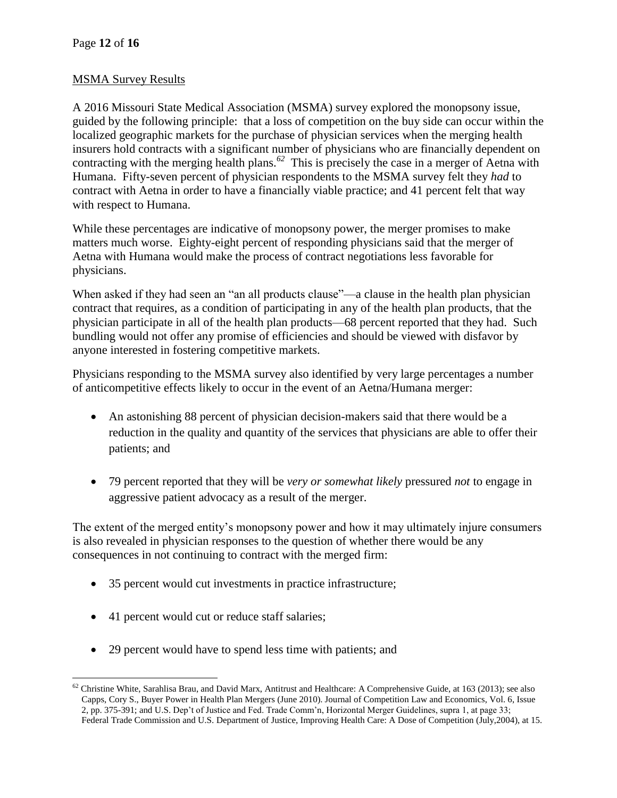## MSMA Survey Results

A 2016 Missouri State Medical Association (MSMA) survey explored the monopsony issue, guided by the following principle: that a loss of competition on the buy side can occur within the localized geographic markets for the purchase of physician services when the merging health insurers hold contracts with a significant number of physicians who are financially dependent on contracting with the merging health plans.*<sup>62</sup>* This is precisely the case in a merger of Aetna with Humana. Fifty-seven percent of physician respondents to the MSMA survey felt they *had* to contract with Aetna in order to have a financially viable practice; and 41 percent felt that way with respect to Humana.

While these percentages are indicative of monopsony power, the merger promises to make matters much worse. Eighty-eight percent of responding physicians said that the merger of Aetna with Humana would make the process of contract negotiations less favorable for physicians.

When asked if they had seen an "an all products clause"—a clause in the health plan physician contract that requires, as a condition of participating in any of the health plan products, that the physician participate in all of the health plan products—68 percent reported that they had. Such bundling would not offer any promise of efficiencies and should be viewed with disfavor by anyone interested in fostering competitive markets.

Physicians responding to the MSMA survey also identified by very large percentages a number of anticompetitive effects likely to occur in the event of an Aetna/Humana merger:

- An astonishing 88 percent of physician decision-makers said that there would be a reduction in the quality and quantity of the services that physicians are able to offer their patients; and
- 79 percent reported that they will be *very or somewhat likely* pressured *not* to engage in aggressive patient advocacy as a result of the merger.

The extent of the merged entity's monopsony power and how it may ultimately injure consumers is also revealed in physician responses to the question of whether there would be any consequences in not continuing to contract with the merged firm:

- 35 percent would cut investments in practice infrastructure;
- 41 percent would cut or reduce staff salaries;
- 29 percent would have to spend less time with patients; and

 $\overline{a}$  $62$  Christine White, Sarahlisa Brau, and David Marx, Antitrust and Healthcare: A Comprehensive Guide, at 163 (2013); see also Capps, Cory S., Buyer Power in Health Plan Mergers (June 2010). Journal of Competition Law and Economics, Vol. 6, Issue 2, pp. 375-391; and U.S. Dep't of Justice and Fed. Trade Comm'n, Horizontal Merger Guidelines, supra 1, at page 33; Federal Trade Commission and U.S. Department of Justice, Improving Health Care: A Dose of Competition (July,2004), at 15.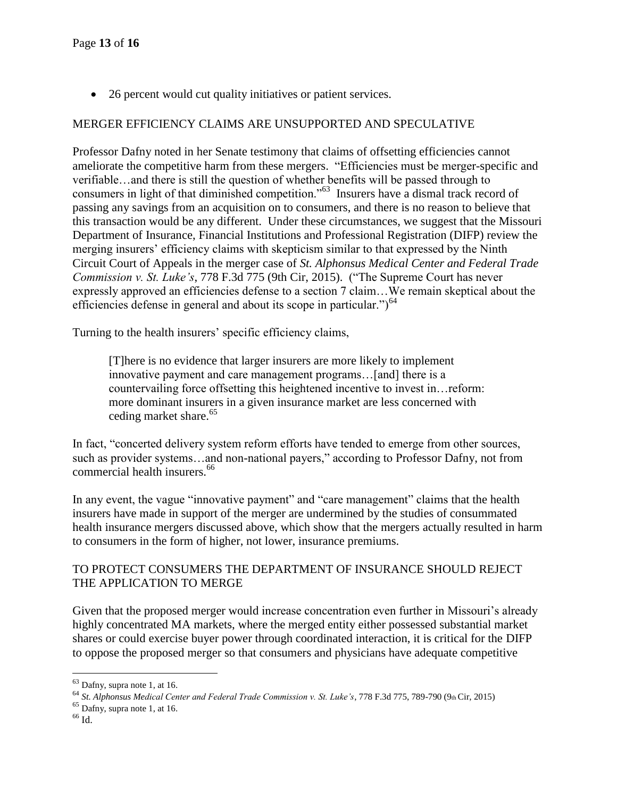• 26 percent would cut quality initiatives or patient services.

## MERGER EFFICIENCY CLAIMS ARE UNSUPPORTED AND SPECULATIVE

Professor Dafny noted in her Senate testimony that claims of offsetting efficiencies cannot ameliorate the competitive harm from these mergers. "Efficiencies must be merger-specific and verifiable…and there is still the question of whether benefits will be passed through to consumers in light of that diminished competition."<sup>63</sup> Insurers have a dismal track record of passing any savings from an acquisition on to consumers, and there is no reason to believe that this transaction would be any different. Under these circumstances, we suggest that the Missouri Department of Insurance, Financial Institutions and Professional Registration (DIFP) review the merging insurers' efficiency claims with skepticism similar to that expressed by the Ninth Circuit Court of Appeals in the merger case of *St. Alphonsus Medical Center and Federal Trade Commission v. St. Luke's*, 778 F.3d 775 (9th Cir, 2015). ("The Supreme Court has never expressly approved an efficiencies defense to a section 7 claim…We remain skeptical about the efficiencies defense in general and about its scope in particular." $64$ 

Turning to the health insurers' specific efficiency claims,

[T]here is no evidence that larger insurers are more likely to implement innovative payment and care management programs…[and] there is a countervailing force offsetting this heightened incentive to invest in…reform: more dominant insurers in a given insurance market are less concerned with ceding market share.<sup>65</sup>

In fact, "concerted delivery system reform efforts have tended to emerge from other sources, such as provider systems…and non-national payers," according to Professor Dafny, not from commercial health insurers.<sup>66</sup>

In any event, the vague "innovative payment" and "care management" claims that the health insurers have made in support of the merger are undermined by the studies of consummated health insurance mergers discussed above, which show that the mergers actually resulted in harm to consumers in the form of higher, not lower, insurance premiums.

# TO PROTECT CONSUMERS THE DEPARTMENT OF INSURANCE SHOULD REJECT THE APPLICATION TO MERGE

Given that the proposed merger would increase concentration even further in Missouri's already highly concentrated MA markets, where the merged entity either possessed substantial market shares or could exercise buyer power through coordinated interaction, it is critical for the DIFP to oppose the proposed merger so that consumers and physicians have adequate competitive

 $65$  Dafny, supra note 1, at 16.

<sup>63</sup> Dafny, supra note 1, at 16.

<sup>64</sup> *St. Alphonsus Medical Center and Federal Trade Commission v. St. Luke's*, 778 F.3d 775, 789-790 (9th Cir, 2015)

 $^{66}$  Id.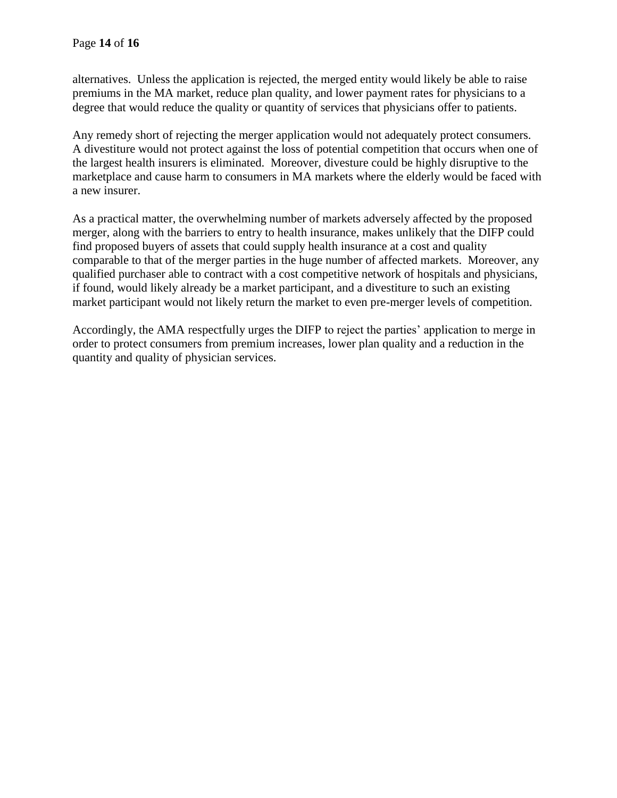alternatives. Unless the application is rejected, the merged entity would likely be able to raise premiums in the MA market, reduce plan quality, and lower payment rates for physicians to a degree that would reduce the quality or quantity of services that physicians offer to patients.

Any remedy short of rejecting the merger application would not adequately protect consumers. A divestiture would not protect against the loss of potential competition that occurs when one of the largest health insurers is eliminated. Moreover, divesture could be highly disruptive to the marketplace and cause harm to consumers in MA markets where the elderly would be faced with a new insurer.

As a practical matter, the overwhelming number of markets adversely affected by the proposed merger, along with the barriers to entry to health insurance, makes unlikely that the DIFP could find proposed buyers of assets that could supply health insurance at a cost and quality comparable to that of the merger parties in the huge number of affected markets. Moreover, any qualified purchaser able to contract with a cost competitive network of hospitals and physicians, if found, would likely already be a market participant, and a divestiture to such an existing market participant would not likely return the market to even pre-merger levels of competition.

Accordingly, the AMA respectfully urges the DIFP to reject the parties' application to merge in order to protect consumers from premium increases, lower plan quality and a reduction in the quantity and quality of physician services.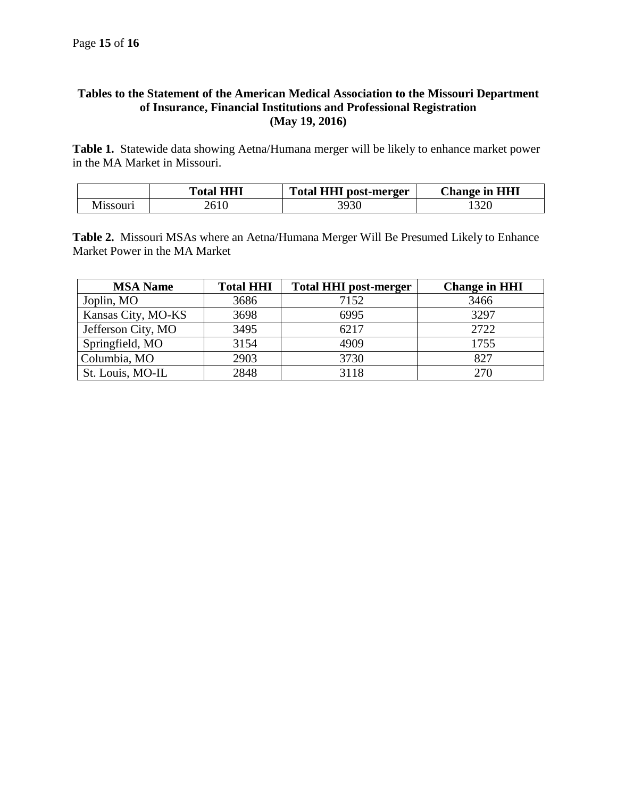## **Tables to the Statement of the American Medical Association to the Missouri Department of Insurance, Financial Institutions and Professional Registration (May 19, 2016)**

**Table 1.** Statewide data showing Aetna/Humana merger will be likely to enhance market power in the MA Market in Missouri.

| <b>HHI</b><br>``otal_ | Totar .<br>post-merger<br>н.<br>н | <b>Change in HHI</b> |
|-----------------------|-----------------------------------|----------------------|
| ∠∪⊥∪                  | 3930                              | $\Omega$<br>1 J 4 J  |

**Table 2.** Missouri MSAs where an Aetna/Humana Merger Will Be Presumed Likely to Enhance Market Power in the MA Market

| <b>MSA Name</b>    | <b>Total HHI</b> | <b>Total HHI post-merger</b> | <b>Change in HHI</b> |
|--------------------|------------------|------------------------------|----------------------|
| Joplin, MO         | 3686             | 7152                         | 3466                 |
| Kansas City, MO-KS | 3698             | 6995                         | 3297                 |
| Jefferson City, MO | 3495             | 6217                         | 2722                 |
| Springfield, MO    | 3154             | 4909                         | 1755                 |
| Columbia, MO       | 2903             | 3730                         | 827                  |
| St. Louis, MO-IL   | 2848             | 3118                         | 270                  |